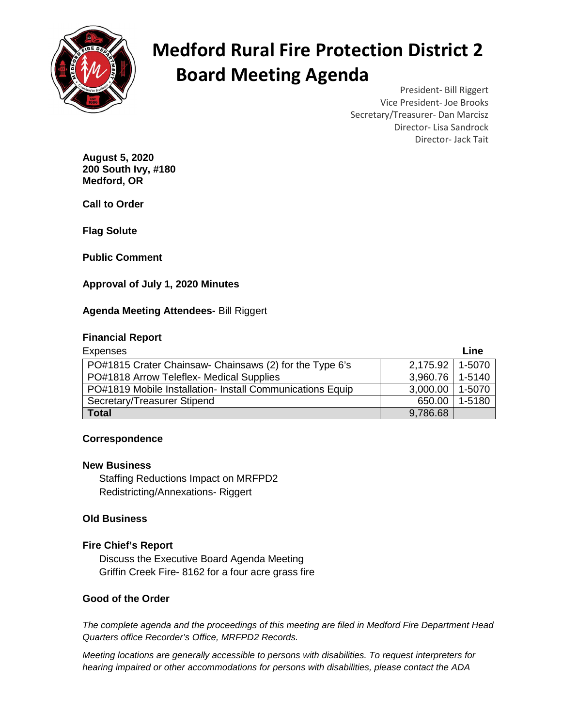

# **Medford Rural Fire Protection District 2 Board Meeting Agenda**

President- Bill Riggert Vice President- Joe Brooks Secretary/Treasurer- Dan Marcisz Director- Lisa Sandrock Director- Jack Tait

**August 5, 2020 200 South Ivy, #180 Medford, OR** 

**Call to Order** 

**Flag Solute** 

**Public Comment** 

## **Approval of July 1, 2020 Minutes**

## **Agenda Meeting Attendees-** Bill Riggert

## **Financial Report**

| <b>Expenses</b>                                           |                   | Line   |
|-----------------------------------------------------------|-------------------|--------|
| PO#1815 Crater Chainsaw- Chainsaws (2) for the Type 6's   | 2,175.92 1-5070   |        |
| PO#1818 Arrow Teleflex- Medical Supplies                  | 3,960.76 1-5140   |        |
| PO#1819 Mobile Installation- Install Communications Equip | 3,000.00   1-5070 |        |
| Secretary/Treasurer Stipend                               | 650.00            | 1-5180 |
| <b>Total</b>                                              | 9,786.68          |        |

## **Correspondence**

#### **New Business**

Staffing Reductions Impact on MRFPD2 Redistricting/Annexations- Riggert

## **Old Business**

## **Fire Chief's Report**

 Discuss the Executive Board Agenda Meeting Griffin Creek Fire- 8162 for a four acre grass fire

## **Good of the Order**

The complete agenda and the proceedings of this meeting are filed in Medford Fire Department Head Quarters office Recorder's Office, MRFPD2 Records.

Meeting locations are generally accessible to persons with disabilities. To request interpreters for hearing impaired or other accommodations for persons with disabilities, please contact the ADA